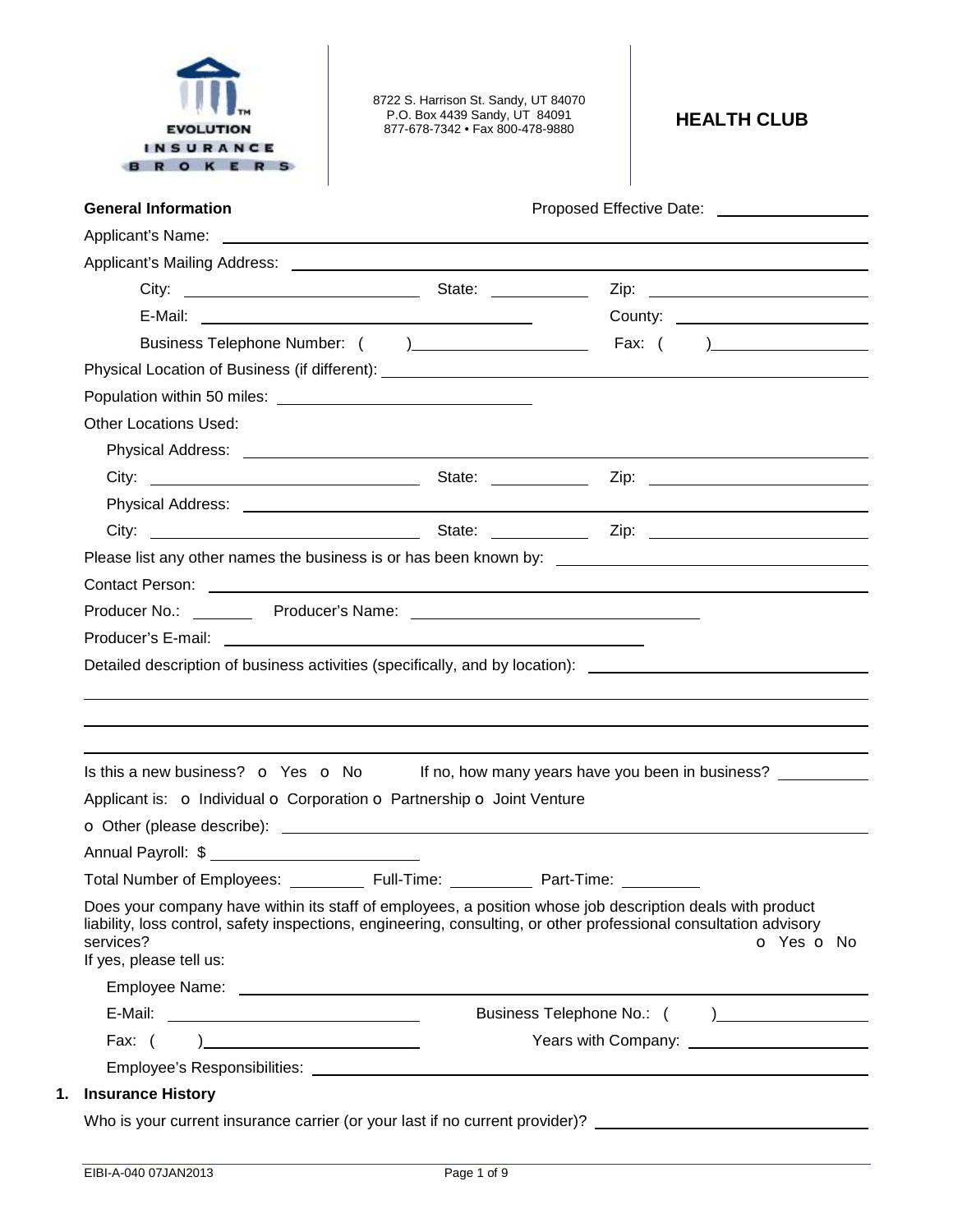

8722 S. Harrison St. Sandy, UT 84070 P.O. Box 4439 Sandy, UT 84091 877-678-7342 • Fax 800-478-9880 **HEALTH CLUB** 

| <b>General Information</b>                                                 |            | Proposed Effective Date: National Assembly Proposed Effective Date:                                                                                                                                                                                        |  |
|----------------------------------------------------------------------------|------------|------------------------------------------------------------------------------------------------------------------------------------------------------------------------------------------------------------------------------------------------------------|--|
|                                                                            |            |                                                                                                                                                                                                                                                            |  |
|                                                                            |            |                                                                                                                                                                                                                                                            |  |
|                                                                            |            |                                                                                                                                                                                                                                                            |  |
|                                                                            |            | County: ________________________                                                                                                                                                                                                                           |  |
|                                                                            |            |                                                                                                                                                                                                                                                            |  |
|                                                                            |            |                                                                                                                                                                                                                                                            |  |
|                                                                            |            |                                                                                                                                                                                                                                                            |  |
| <b>Other Locations Used:</b>                                               |            |                                                                                                                                                                                                                                                            |  |
|                                                                            |            |                                                                                                                                                                                                                                                            |  |
|                                                                            |            |                                                                                                                                                                                                                                                            |  |
|                                                                            |            |                                                                                                                                                                                                                                                            |  |
|                                                                            |            |                                                                                                                                                                                                                                                            |  |
|                                                                            |            |                                                                                                                                                                                                                                                            |  |
|                                                                            |            | Contact Person: <u>Contact Person</u>                                                                                                                                                                                                                      |  |
|                                                                            |            |                                                                                                                                                                                                                                                            |  |
|                                                                            |            | Detailed description of business activities (specifically, and by location): _________________________________                                                                                                                                             |  |
|                                                                            |            |                                                                                                                                                                                                                                                            |  |
|                                                                            |            |                                                                                                                                                                                                                                                            |  |
|                                                                            |            | Is this a new business? $\bullet$ Yes $\bullet$ No If no, how many years have you been in business?                                                                                                                                                        |  |
|                                                                            |            |                                                                                                                                                                                                                                                            |  |
|                                                                            |            |                                                                                                                                                                                                                                                            |  |
| Applicant is: o Individual o Corporation o Partnership o Joint Venture     |            |                                                                                                                                                                                                                                                            |  |
| Total Number of Employees: ___<br>services?<br>If yes, please tell us:     | Full-Time: | Part-Time:<br>Does your company have within its staff of employees, a position whose job description deals with product<br>liability, loss control, safety inspections, engineering, consulting, or other professional consultation advisory<br>O Yes O No |  |
|                                                                            |            |                                                                                                                                                                                                                                                            |  |
|                                                                            |            |                                                                                                                                                                                                                                                            |  |
| Fax: $($<br>) and the contract of the contract of $\overline{\phantom{a}}$ |            |                                                                                                                                                                                                                                                            |  |
| <b>Insurance History</b>                                                   |            |                                                                                                                                                                                                                                                            |  |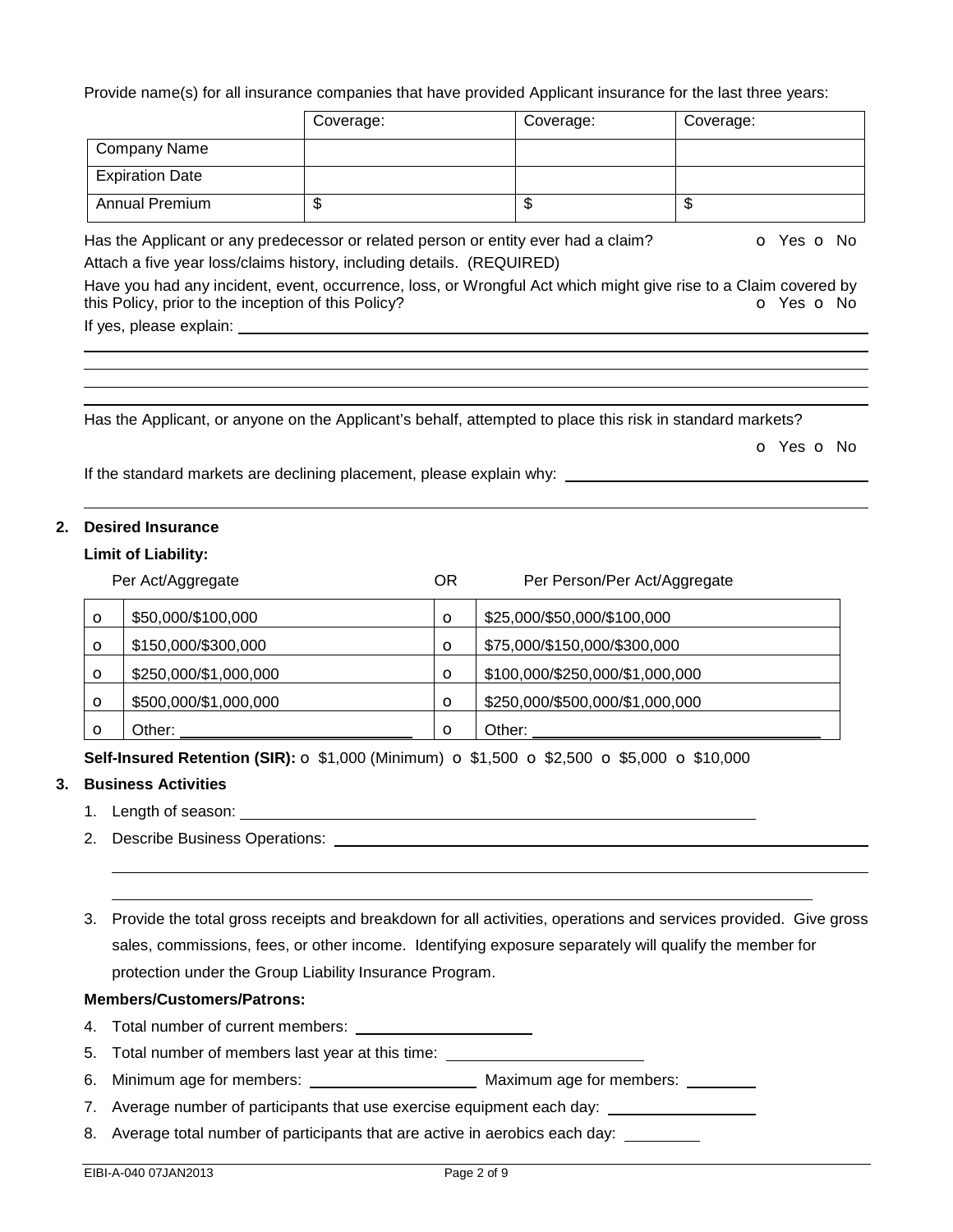Provide name(s) for all insurance companies that have provided Applicant insurance for the last three years:

|                        | Coverage: | Coverage: | Coverage: |
|------------------------|-----------|-----------|-----------|
| Company Name           |           |           |           |
| <b>Expiration Date</b> |           |           |           |
| <b>Annual Premium</b>  | ۰D        | \$        | ѡ         |

Has the Applicant or any predecessor or related person or entity ever had a claim?  $\bullet$  Yes  $\bullet$  No Attach a five year loss/claims history, including details. (REQUIRED)

Have you had any incident, event, occurrence, loss, or Wrongful Act which might give rise to a Claim covered by this Policy, prior to the inception of this Policy? **o** Yes **o** No

If yes, please explain: 

Has the Applicant, or anyone on the Applicant's behalf, attempted to place this risk in standard markets?

o Yes o No

If the standard markets are declining placement, please explain why: \_\_\_\_\_\_\_\_\_\_\_\_

# **2. Desired Insurance**

### **Limit of Liability:**

|         | Per Act/Aggregate     | ΟR      | Per Person/Per Act/Aggregate    |
|---------|-----------------------|---------|---------------------------------|
| $\circ$ | \$50,000/\$100,000    | $\circ$ | \$25,000/\$50,000/\$100,000     |
| $\circ$ | \$150,000/\$300,000   | $\circ$ | \$75,000/\$150,000/\$300,000    |
| $\circ$ | \$250,000/\$1,000,000 | $\circ$ | \$100,000/\$250,000/\$1,000,000 |
| O       | \$500,000/\$1,000,000 | $\circ$ | \$250,000/\$500,000/\$1,000,000 |
| O       | Other:                | $\circ$ | Other:                          |

**Self-Insured Retention (SIR):** o \$1,000 (Minimum) o \$1,500 o \$2,500 o \$5,000 o \$10,000

# **3. Business Activities**

- 1. Length of season:
- 2. Describe Business Operations:

3. Provide the total gross receipts and breakdown for all activities, operations and services provided. Give gross sales, commissions, fees, or other income. Identifying exposure separately will qualify the member for protection under the Group Liability Insurance Program.

### **Members/Customers/Patrons:**

4. Total number of current members:

5. Total number of members last year at this time:

6. Minimum age for members: Maximum age for members:

7. Average number of participants that use exercise equipment each day:

8. Average total number of participants that are active in aerobics each day: \_\_\_\_\_\_\_\_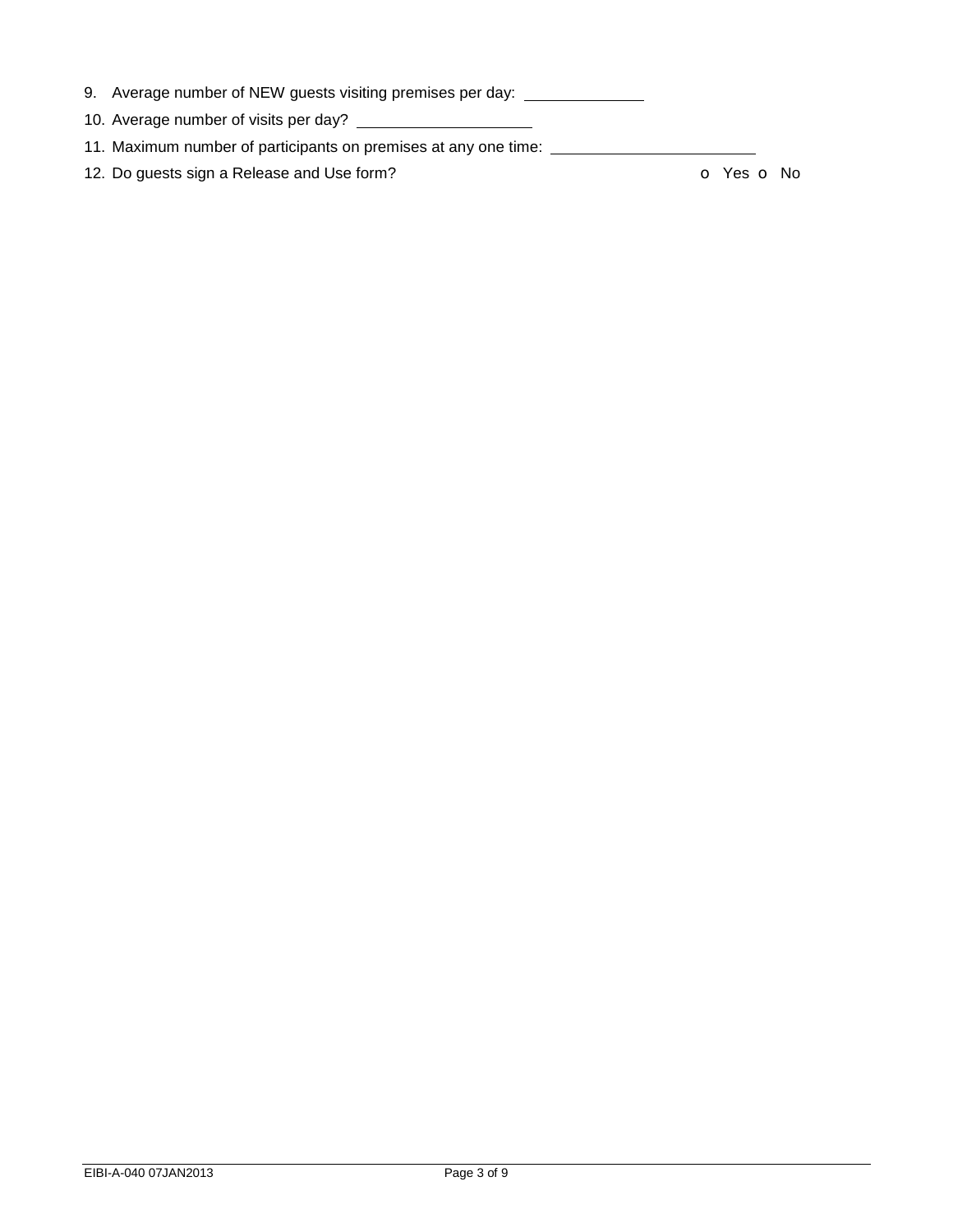- 9. Average number of NEW guests visiting premises per day: \_\_\_\_\_\_\_\_\_\_\_\_\_
- 10. Average number of visits per day?
- 11. Maximum number of participants on premises at any one time:

12. Do guests sign a Release and Use form? **o Yes o No**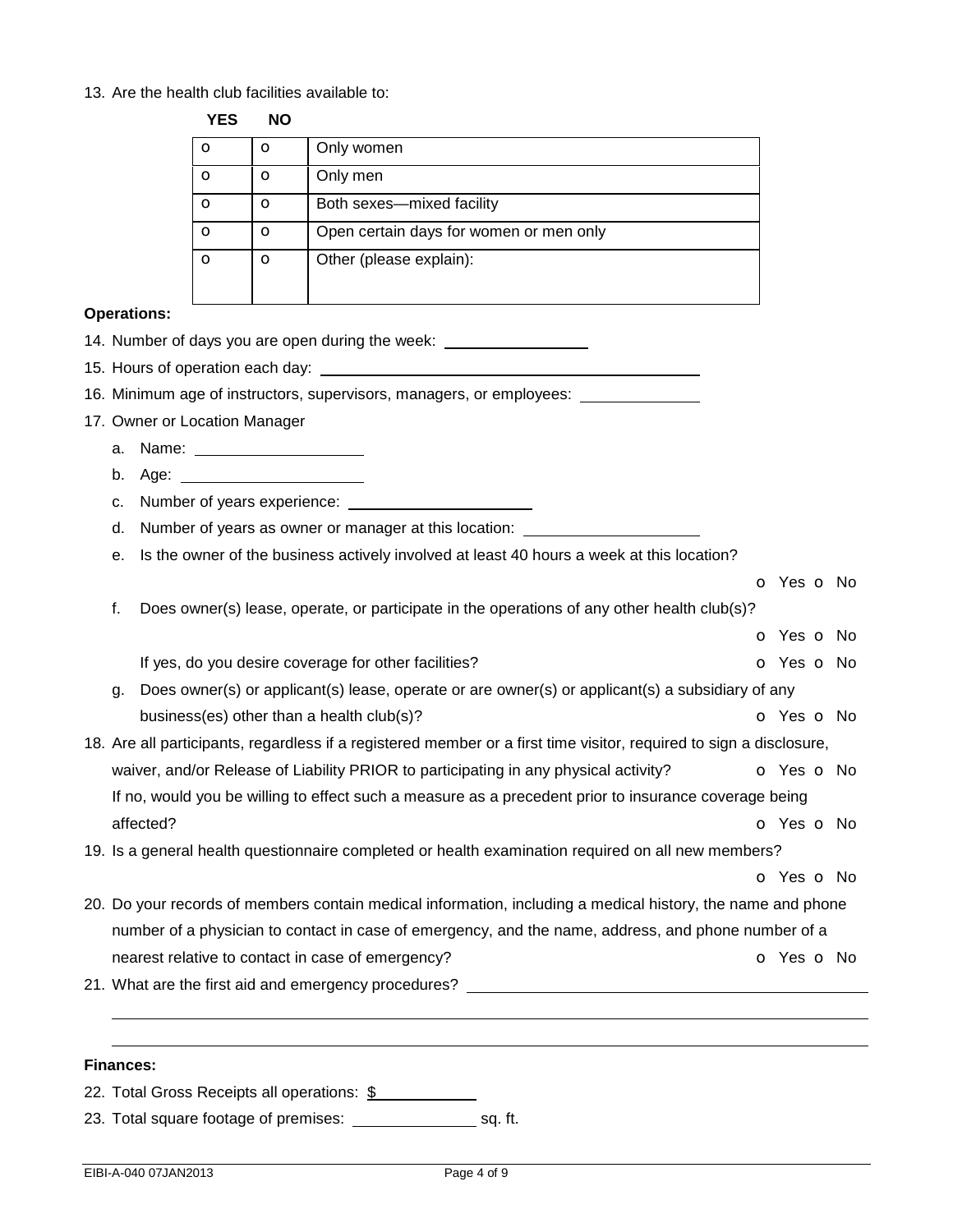#### 13. Are the health club facilities available to: **YES NO**

| כם ז | טאו |                                         |
|------|-----|-----------------------------------------|
| O    | О   | Only women                              |
| О    | Ο   | Only men                                |
| റ    | O   | Both sexes-mixed facility               |
| О    | O   | Open certain days for women or men only |
| O    | O   | Other (please explain):                 |

### **Operations:**

- 14. Number of days you are open during the week:
- 15. Hours of operation each day:
- 16. Minimum age of instructors, supervisors, managers, or employees:
- 17. Owner or Location Manager
	- a. Name:
	- b. Age:
	- c. Number of years experience:
	- d. Number of years as owner or manager at this location:
	- e. Is the owner of the business actively involved at least 40 hours a week at this location?

 o Yes o No f. Does owner(s) lease, operate, or participate in the operations of any other health club(s)? o Yes o No If yes, do you desire coverage for other facilities? The Community of Second Community of Yes of No. g. Does owner(s) or applicant(s) lease, operate or are owner(s) or applicant(s) a subsidiary of any business(es) other than a health club(s)? **business and a Southern Contract Contract Contract Contract Contract Contract Contract Contract Contract Contract Contract Contract Contract Contract Contract Contract Contract Co** 18. Are all participants, regardless if a registered member or a first time visitor, required to sign a disclosure, waiver, and/or Release of Liability PRIOR to participating in any physical activity?  $\bullet$  Yes  $\bullet$  No If no, would you be willing to effect such a measure as a precedent prior to insurance coverage being affected? **o** Yes **o** No 19. Is a general health questionnaire completed or health examination required on all new members?

20. Do your records of members contain medical information, including a medical history, the name and phone number of a physician to contact in case of emergency, and the name, address, and phone number of a nearest relative to contact in case of emergency? **o** Yes **o** No

o Yes o No

21. What are the first aid and emergency procedures?

### **Finances:**

 

22. Total Gross Receipts all operations: \$

23. Total square footage of premises: sale sq. ft.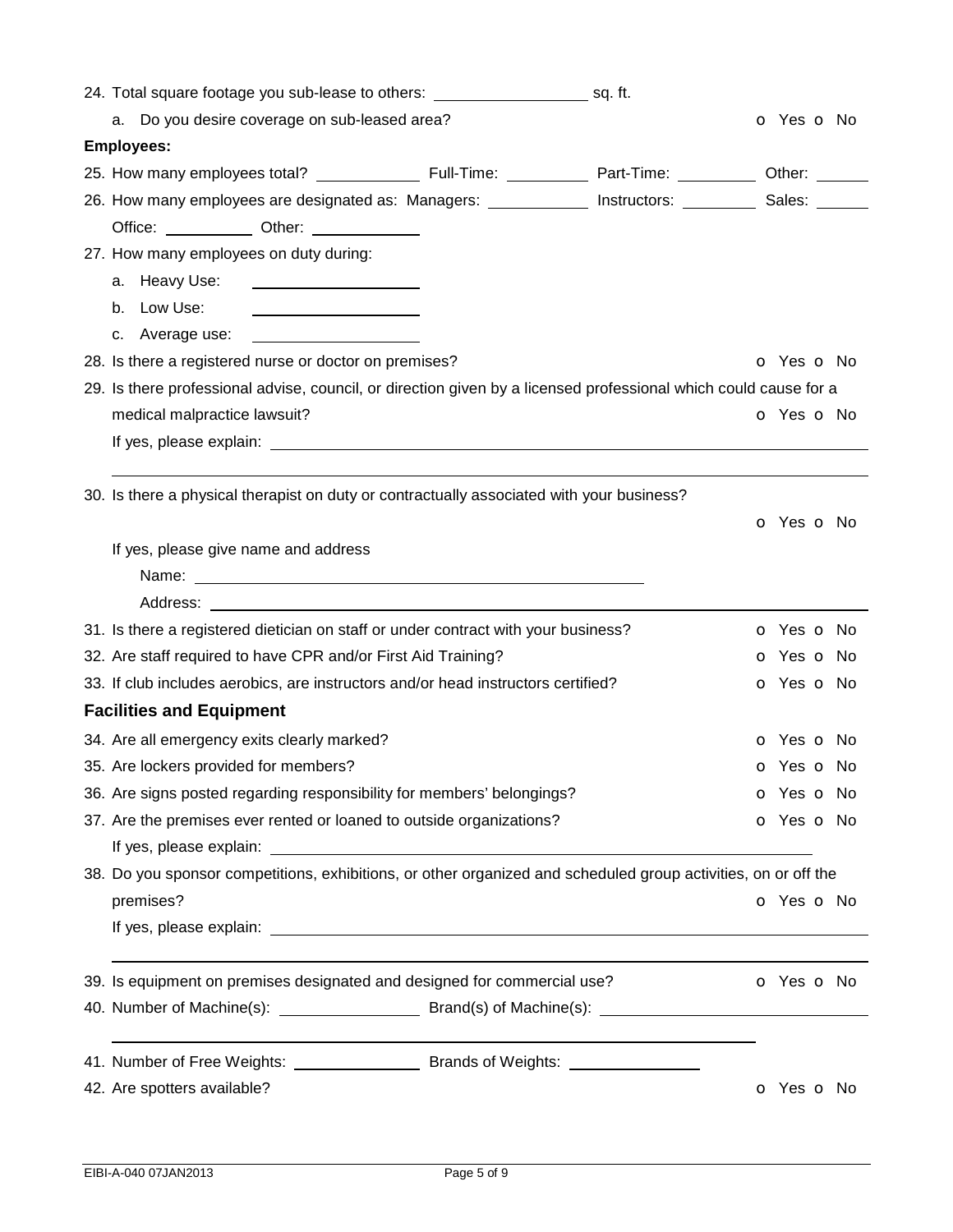| a. Do you desire coverage on sub-leased area?                                                                    | <b>O</b> Yes <b>O</b> No |                          |
|------------------------------------------------------------------------------------------------------------------|--------------------------|--------------------------|
| <b>Employees:</b>                                                                                                |                          |                          |
|                                                                                                                  |                          |                          |
| 26. How many employees are designated as: Managers: _____________ Instructors: _________ Sales: _______          |                          |                          |
| Office: ____________ Other: ____________                                                                         |                          |                          |
| 27. How many employees on duty during:                                                                           |                          |                          |
|                                                                                                                  |                          |                          |
| b. Low Use:                                                                                                      |                          |                          |
|                                                                                                                  |                          |                          |
| 28. Is there a registered nurse or doctor on premises?                                                           |                          | <b>O</b> Yes <b>O</b> No |
| 29. Is there professional advise, council, or direction given by a licensed professional which could cause for a |                          |                          |
| medical malpractice lawsuit?                                                                                     |                          | O Yes O No               |
|                                                                                                                  |                          |                          |
|                                                                                                                  |                          |                          |
| 30. Is there a physical therapist on duty or contractually associated with your business?                        |                          |                          |
|                                                                                                                  |                          | O Yes O No               |
| If yes, please give name and address                                                                             |                          |                          |
|                                                                                                                  |                          |                          |
|                                                                                                                  |                          |                          |
| 31. Is there a registered dietician on staff or under contract with your business?                               |                          | <b>o</b> Yes <b>o</b> No |
| 32. Are staff required to have CPR and/or First Aid Training?                                                    |                          | <b>o</b> Yes <b>o</b> No |
| 33. If club includes aerobics, are instructors and/or head instructors certified?                                |                          | <b>o</b> Yes <b>o</b> No |
| <b>Facilities and Equipment</b>                                                                                  |                          |                          |
| 34. Are all emergency exits clearly marked?                                                                      |                          | O Yes O No               |
| 35. Are lockers provided for members?                                                                            |                          | <b>o</b> Yes <b>o</b> No |
| 36. Are signs posted regarding responsibility for members' belongings?                                           |                          | o Yes o No               |
| 37. Are the premises ever rented or loaned to outside organizations?                                             |                          | o Yes o No               |
|                                                                                                                  |                          |                          |
| 38. Do you sponsor competitions, exhibitions, or other organized and scheduled group activities, on or off the   |                          |                          |
| premises?                                                                                                        |                          | o Yes o No               |
|                                                                                                                  |                          |                          |
| 39. Is equipment on premises designated and designed for commercial use?                                         |                          | o Yes o No               |
|                                                                                                                  |                          |                          |
|                                                                                                                  |                          |                          |
|                                                                                                                  |                          |                          |
| 42. Are spotters available?                                                                                      |                          | <b>o</b> Yes <b>o</b> No |
|                                                                                                                  |                          |                          |
|                                                                                                                  |                          |                          |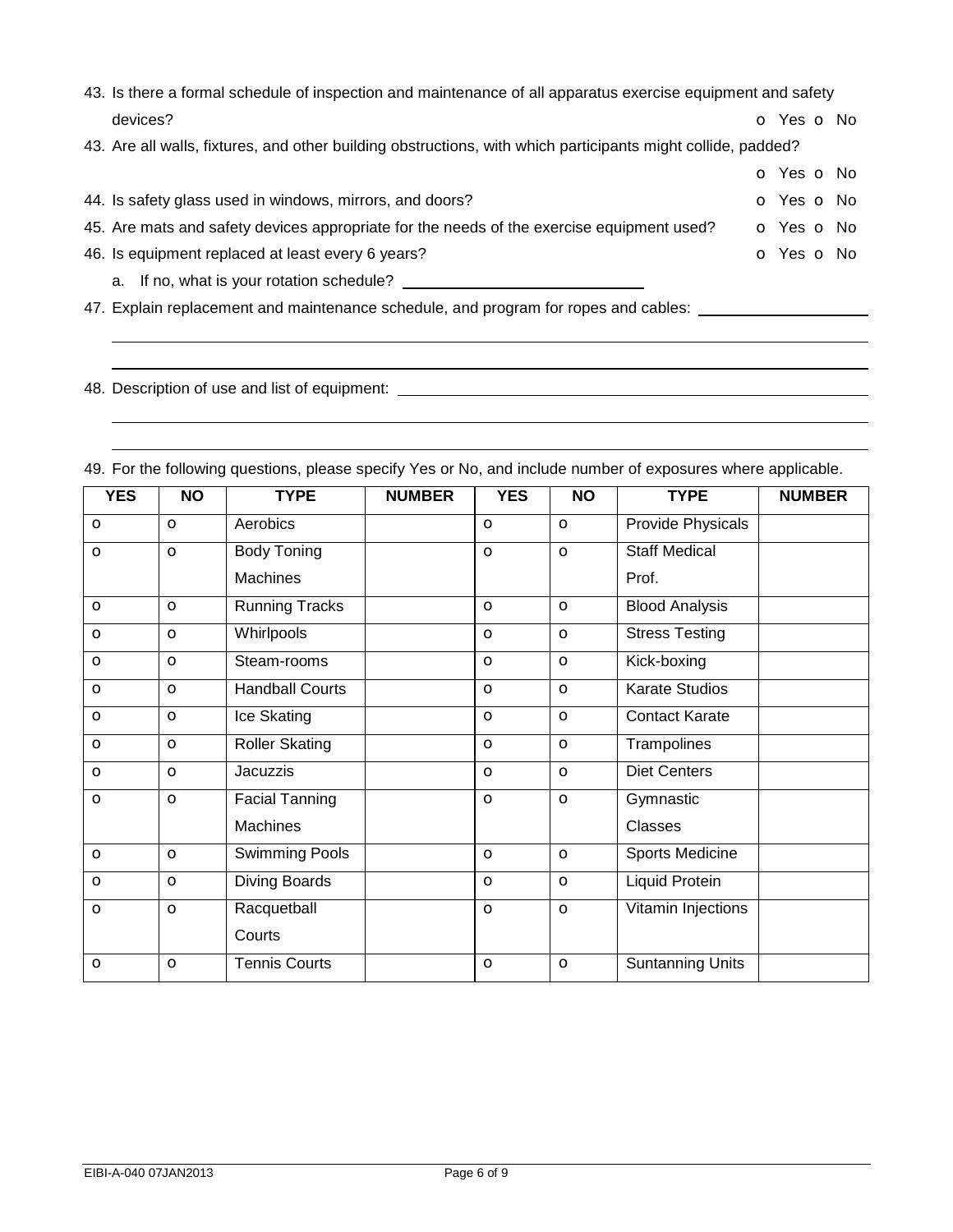| 43. Is there a formal schedule of inspection and maintenance of all apparatus exercise equipment and safety  |            |  |
|--------------------------------------------------------------------------------------------------------------|------------|--|
| devices?                                                                                                     | O Yes O No |  |
| 43. Are all walls, fixtures, and other building obstructions, with which participants might collide, padded? |            |  |
|                                                                                                              | O Yes O No |  |
| 44. Is safety glass used in windows, mirrors, and doors?                                                     | O Yes O No |  |
| 45. Are mats and safety devices appropriate for the needs of the exercise equipment used?                    | O Yes O No |  |
| 46. Is equipment replaced at least every 6 years?                                                            | O Yes O No |  |
| a. If no, what is your rotation schedule?                                                                    |            |  |

47. Explain replacement and maintenance schedule, and program for ropes and cables: \_\_\_\_\_\_\_\_\_\_\_\_\_\_\_\_\_\_\_\_\_\_\_\_\_\_

48. Description of use and list of equipment: \_\_\_\_\_\_\_\_\_\_\_\_\_\_\_\_\_\_\_\_\_\_\_\_\_\_\_\_\_\_\_\_\_\_

 

 

| <b>YES</b> | <b>NO</b> | <b>TYPE</b>            | <b>NUMBER</b> | <b>YES</b> | <b>NO</b>    | <b>TYPE</b>           | <b>NUMBER</b> |
|------------|-----------|------------------------|---------------|------------|--------------|-----------------------|---------------|
| $\circ$    | $\circ$   | Aerobics               |               | $\circ$    | $\circ$      | Provide Physicals     |               |
| $\circ$    | $\circ$   | <b>Body Toning</b>     |               | $\circ$    | $\circ$      | <b>Staff Medical</b>  |               |
|            |           | Machines               |               |            |              | Prof.                 |               |
| $\circ$    | $\circ$   | <b>Running Tracks</b>  |               | $\circ$    | $\circ$      | <b>Blood Analysis</b> |               |
| $\circ$    | $\circ$   | Whirlpools             |               | $\circ$    | $\circ$      | <b>Stress Testing</b> |               |
| $\circ$    | $\circ$   | Steam-rooms            |               | $\circ$    | $\circ$      | Kick-boxing           |               |
| $\circ$    | $\circ$   | <b>Handball Courts</b> |               | $\circ$    | $\circ$      | <b>Karate Studios</b> |               |
| $\circ$    | $\circ$   | Ice Skating            |               | $\circ$    | $\circ$      | <b>Contact Karate</b> |               |
| $\circ$    | $\circ$   | <b>Roller Skating</b>  |               | $\circ$    | $\circ$      | Trampolines           |               |
| $\circ$    | $\circ$   | Jacuzzis               |               | $\circ$    | $\circ$      | <b>Diet Centers</b>   |               |
| $\circ$    | $\circ$   | <b>Facial Tanning</b>  |               | $\circ$    | $\circ$      | Gymnastic             |               |
|            |           | Machines               |               |            |              | Classes               |               |
| $\circ$    | $\circ$   | <b>Swimming Pools</b>  |               | $\circ$    | $\mathbf{o}$ | Sports Medicine       |               |
| $\circ$    | $\circ$   | Diving Boards          |               | $\circ$    | $\circ$      | <b>Liquid Protein</b> |               |
| $\circ$    | $\circ$   | Racquetball            |               | $\circ$    | $\mathbf{o}$ | Vitamin Injections    |               |
|            |           | Courts                 |               |            |              |                       |               |
| $\circ$    | $\circ$   | <b>Tennis Courts</b>   |               | $\circ$    | $\circ$      | Suntanning Units      |               |

49. For the following questions, please specify Yes or No, and include number of exposures where applicable.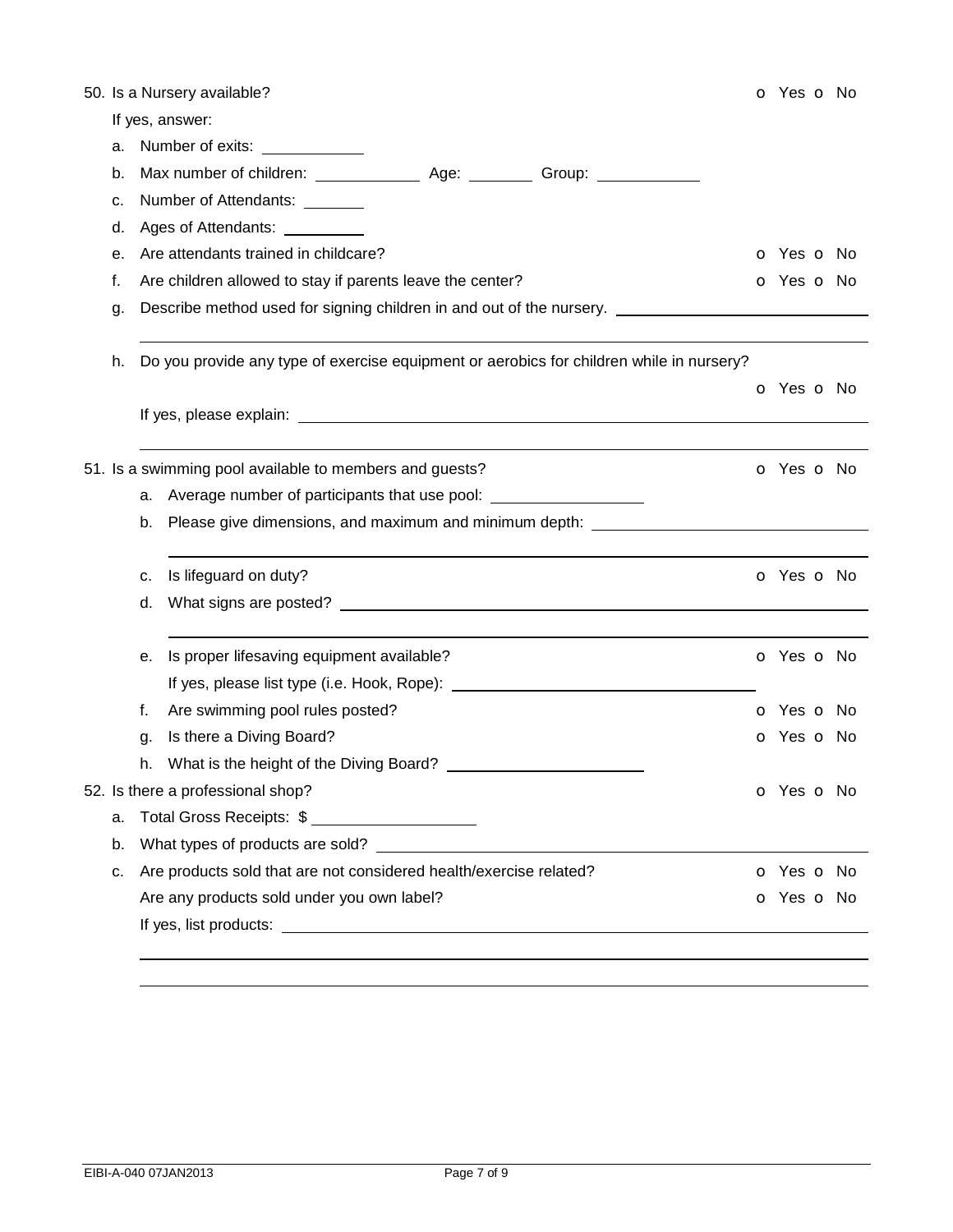|    |    | 50. Is a Nursery available?                                                              | O Yes O No               |
|----|----|------------------------------------------------------------------------------------------|--------------------------|
|    |    | If yes, answer:                                                                          |                          |
| а. |    | Number of exits: ____________                                                            |                          |
| b. |    |                                                                                          |                          |
| c. |    | Number of Attendants: _______                                                            |                          |
| d. |    | Ages of Attendants: __________                                                           |                          |
| е. |    | Are attendants trained in childcare?                                                     | <b>o</b> Yes <b>o</b> No |
| f. |    | Are children allowed to stay if parents leave the center?                                | <b>o</b> Yes <b>o</b> No |
| g. |    | Describe method used for signing children in and out of the nursery. _________           |                          |
|    |    |                                                                                          |                          |
| h. |    | Do you provide any type of exercise equipment or aerobics for children while in nursery? |                          |
|    |    |                                                                                          | O Yes O No               |
|    |    |                                                                                          |                          |
|    |    |                                                                                          |                          |
|    |    | 51. Is a swimming pool available to members and guests?                                  | O Yes O No               |
|    | а. | Average number of participants that use pool: __________________________________         |                          |
|    | b. | Please give dimensions, and maximum and minimum depth: _________________________         |                          |
|    | c. | Is lifeguard on duty?                                                                    | O Yes O No               |
|    | d. |                                                                                          |                          |
|    |    |                                                                                          |                          |
|    | е. | Is proper lifesaving equipment available?                                                | o Yes o No               |
|    |    |                                                                                          |                          |
|    | f. | Are swimming pool rules posted?                                                          | <b>o</b> Yes <b>o</b> No |
|    | g. | Is there a Diving Board?                                                                 | O Yes O No               |
|    | h. | What is the height of the Diving Board?                                                  |                          |
|    |    | 52. Is there a professional shop?                                                        | <b>o</b> Yes <b>o</b> No |
| a. |    | Total Gross Receipts: \$                                                                 |                          |
| b. |    | What types of products are sold?                                                         |                          |
| c. |    | Are products sold that are not considered health/exercise related?                       | <b>o</b> Yes <b>o</b> No |
|    |    | Are any products sold under you own label?                                               | <b>o</b> Yes <b>o</b> No |
|    |    |                                                                                          |                          |
|    |    |                                                                                          |                          |
|    |    |                                                                                          |                          |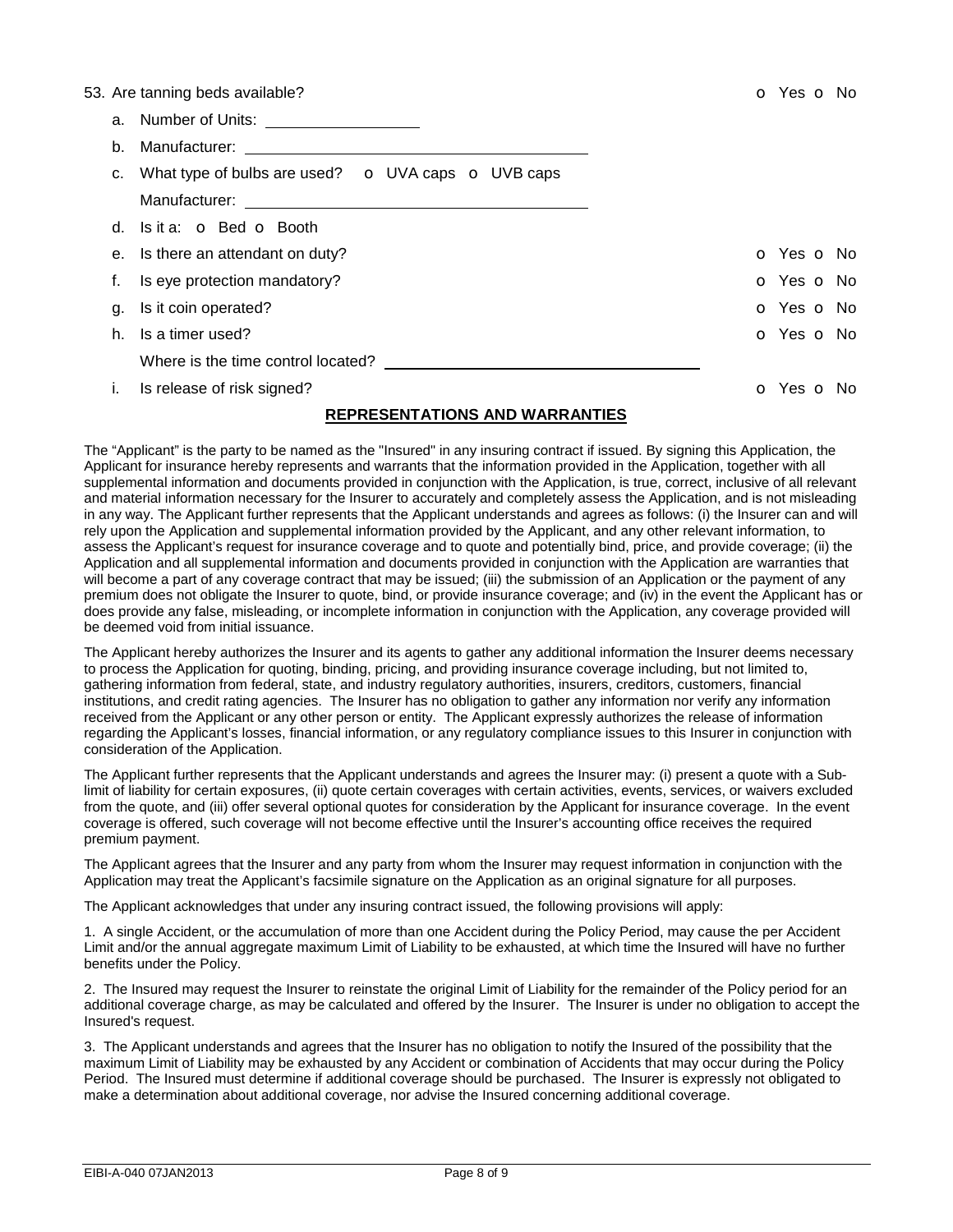|    | 53. Are tanning beds available?                                                                                                                                                                                               | o Yes o No |
|----|-------------------------------------------------------------------------------------------------------------------------------------------------------------------------------------------------------------------------------|------------|
|    |                                                                                                                                                                                                                               |            |
|    | b. Manufacturer: The contract of the contract of the contract of the contract of the contract of the contract of the contract of the contract of the contract of the contract of the contract of the contract of the contract |            |
|    | c. What type of bulbs are used? $\bullet$ UVA caps $\bullet$ UVB caps                                                                                                                                                         |            |
|    |                                                                                                                                                                                                                               |            |
|    | d. Is it a: <b>o</b> Bed <b>o</b> Booth                                                                                                                                                                                       |            |
|    | e. Is there an attendant on duty?                                                                                                                                                                                             | o Yes o No |
|    | Is eye protection mandatory?                                                                                                                                                                                                  | O Yes O No |
| q. | Is it coin operated?                                                                                                                                                                                                          | O Yes O No |
| h. | Is a timer used?                                                                                                                                                                                                              | O Yes O No |
|    |                                                                                                                                                                                                                               |            |
|    | Is release of risk signed?                                                                                                                                                                                                    | o Yes o No |
|    |                                                                                                                                                                                                                               |            |

# **REPRESENTATIONS AND WARRANTIES**

The "Applicant" is the party to be named as the "Insured" in any insuring contract if issued. By signing this Application, the Applicant for insurance hereby represents and warrants that the information provided in the Application, together with all supplemental information and documents provided in conjunction with the Application, is true, correct, inclusive of all relevant and material information necessary for the Insurer to accurately and completely assess the Application, and is not misleading in any way. The Applicant further represents that the Applicant understands and agrees as follows: (i) the Insurer can and will rely upon the Application and supplemental information provided by the Applicant, and any other relevant information, to assess the Applicant's request for insurance coverage and to quote and potentially bind, price, and provide coverage; (ii) the Application and all supplemental information and documents provided in conjunction with the Application are warranties that will become a part of any coverage contract that may be issued; (iii) the submission of an Application or the payment of any premium does not obligate the Insurer to quote, bind, or provide insurance coverage; and (iv) in the event the Applicant has or does provide any false, misleading, or incomplete information in conjunction with the Application, any coverage provided will be deemed void from initial issuance.

The Applicant hereby authorizes the Insurer and its agents to gather any additional information the Insurer deems necessary to process the Application for quoting, binding, pricing, and providing insurance coverage including, but not limited to, gathering information from federal, state, and industry regulatory authorities, insurers, creditors, customers, financial institutions, and credit rating agencies. The Insurer has no obligation to gather any information nor verify any information received from the Applicant or any other person or entity. The Applicant expressly authorizes the release of information regarding the Applicant's losses, financial information, or any regulatory compliance issues to this Insurer in conjunction with consideration of the Application.

The Applicant further represents that the Applicant understands and agrees the Insurer may: (i) present a quote with a Sublimit of liability for certain exposures, (ii) quote certain coverages with certain activities, events, services, or waivers excluded from the quote, and (iii) offer several optional quotes for consideration by the Applicant for insurance coverage. In the event coverage is offered, such coverage will not become effective until the Insurer's accounting office receives the required premium payment.

The Applicant agrees that the Insurer and any party from whom the Insurer may request information in conjunction with the Application may treat the Applicant's facsimile signature on the Application as an original signature for all purposes.

The Applicant acknowledges that under any insuring contract issued, the following provisions will apply:

1. A single Accident, or the accumulation of more than one Accident during the Policy Period, may cause the per Accident Limit and/or the annual aggregate maximum Limit of Liability to be exhausted, at which time the Insured will have no further benefits under the Policy.

2. The Insured may request the Insurer to reinstate the original Limit of Liability for the remainder of the Policy period for an additional coverage charge, as may be calculated and offered by the Insurer. The Insurer is under no obligation to accept the Insured's request.

3. The Applicant understands and agrees that the Insurer has no obligation to notify the Insured of the possibility that the maximum Limit of Liability may be exhausted by any Accident or combination of Accidents that may occur during the Policy Period. The Insured must determine if additional coverage should be purchased. The Insurer is expressly not obligated to make a determination about additional coverage, nor advise the Insured concerning additional coverage.